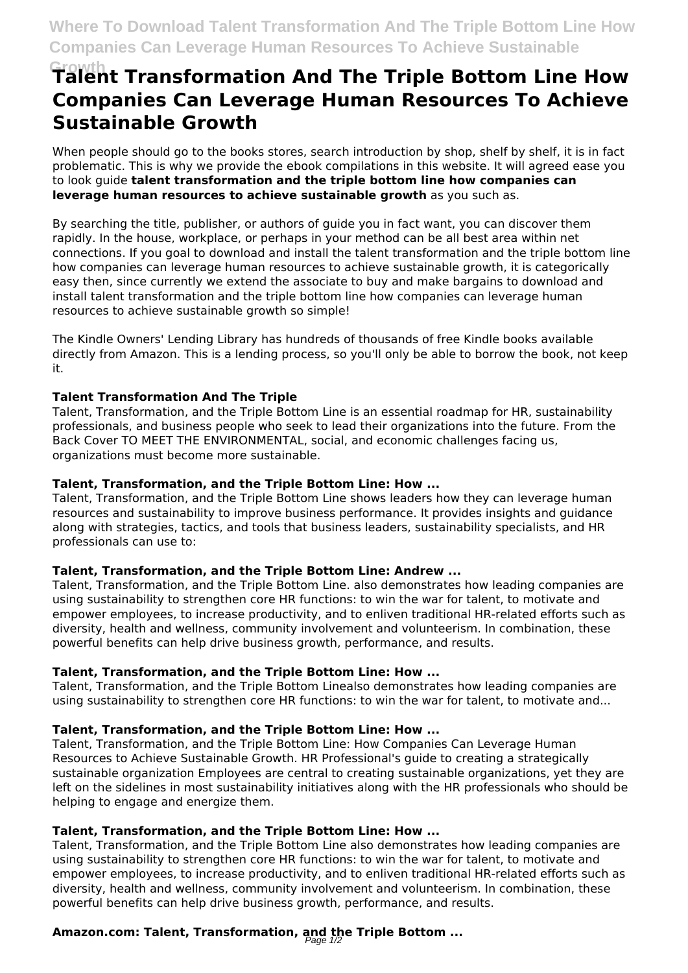# **Growth Talent Transformation And The Triple Bottom Line How Companies Can Leverage Human Resources To Achieve Sustainable Growth**

When people should go to the books stores, search introduction by shop, shelf by shelf, it is in fact problematic. This is why we provide the ebook compilations in this website. It will agreed ease you to look guide **talent transformation and the triple bottom line how companies can leverage human resources to achieve sustainable growth** as you such as.

By searching the title, publisher, or authors of guide you in fact want, you can discover them rapidly. In the house, workplace, or perhaps in your method can be all best area within net connections. If you goal to download and install the talent transformation and the triple bottom line how companies can leverage human resources to achieve sustainable growth, it is categorically easy then, since currently we extend the associate to buy and make bargains to download and install talent transformation and the triple bottom line how companies can leverage human resources to achieve sustainable growth so simple!

The Kindle Owners' Lending Library has hundreds of thousands of free Kindle books available directly from Amazon. This is a lending process, so you'll only be able to borrow the book, not keep it.

#### **Talent Transformation And The Triple**

Talent, Transformation, and the Triple Bottom Line is an essential roadmap for HR, sustainability professionals, and business people who seek to lead their organizations into the future. From the Back Cover TO MEET THE ENVIRONMENTAL, social, and economic challenges facing us, organizations must become more sustainable.

#### **Talent, Transformation, and the Triple Bottom Line: How ...**

Talent, Transformation, and the Triple Bottom Line shows leaders how they can leverage human resources and sustainability to improve business performance. It provides insights and guidance along with strategies, tactics, and tools that business leaders, sustainability specialists, and HR professionals can use to:

#### **Talent, Transformation, and the Triple Bottom Line: Andrew ...**

Talent, Transformation, and the Triple Bottom Line. also demonstrates how leading companies are using sustainability to strengthen core HR functions: to win the war for talent, to motivate and empower employees, to increase productivity, and to enliven traditional HR-related efforts such as diversity, health and wellness, community involvement and volunteerism. In combination, these powerful benefits can help drive business growth, performance, and results.

#### **Talent, Transformation, and the Triple Bottom Line: How ...**

Talent, Transformation, and the Triple Bottom Linealso demonstrates how leading companies are using sustainability to strengthen core HR functions: to win the war for talent, to motivate and...

#### **Talent, Transformation, and the Triple Bottom Line: How ...**

Talent, Transformation, and the Triple Bottom Line: How Companies Can Leverage Human Resources to Achieve Sustainable Growth. HR Professional's guide to creating a strategically sustainable organization Employees are central to creating sustainable organizations, yet they are left on the sidelines in most sustainability initiatives along with the HR professionals who should be helping to engage and energize them.

#### **Talent, Transformation, and the Triple Bottom Line: How ...**

Talent, Transformation, and the Triple Bottom Line also demonstrates how leading companies are using sustainability to strengthen core HR functions: to win the war for talent, to motivate and empower employees, to increase productivity, and to enliven traditional HR-related efforts such as diversity, health and wellness, community involvement and volunteerism. In combination, these powerful benefits can help drive business growth, performance, and results.

## **Amazon.com: Talent, Transformation, and the Triple Bottom ...** Page 1/2